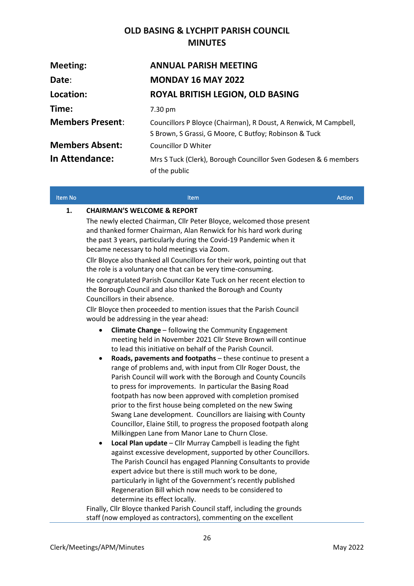## **OLD BASING & LYCHPIT PARISH COUNCIL MINUTES**

| Meeting:                | <b>ANNUAL PARISH MEETING</b>                                                                                              |
|-------------------------|---------------------------------------------------------------------------------------------------------------------------|
| Date:                   | <b>MONDAY 16 MAY 2022</b>                                                                                                 |
| Location:               | ROYAL BRITISH LEGION, OLD BASING                                                                                          |
| Time:                   | $7.30 \,\mathrm{pm}$                                                                                                      |
| <b>Members Present:</b> | Councillors P Bloyce (Chairman), R Doust, A Renwick, M Campbell,<br>S Brown, S Grassi, G Moore, C Butfoy; Robinson & Tuck |
| <b>Members Absent:</b>  | Councillor D Whiter                                                                                                       |
| <b>In Attendance:</b>   | Mrs S Tuck (Clerk), Borough Councillor Sven Godesen & 6 members<br>of the public                                          |

| Item No | <b>Item</b>                                                                                                                                                                                                                                                                                                                                                                                                                                                                                                                                                                                                                                                          | <b>Action</b> |
|---------|----------------------------------------------------------------------------------------------------------------------------------------------------------------------------------------------------------------------------------------------------------------------------------------------------------------------------------------------------------------------------------------------------------------------------------------------------------------------------------------------------------------------------------------------------------------------------------------------------------------------------------------------------------------------|---------------|
| 1.      | <b>CHAIRMAN'S WELCOME &amp; REPORT</b>                                                                                                                                                                                                                                                                                                                                                                                                                                                                                                                                                                                                                               |               |
|         | The newly elected Chairman, Cllr Peter Bloyce, welcomed those present<br>and thanked former Chairman, Alan Renwick for his hard work during<br>the past 3 years, particularly during the Covid-19 Pandemic when it<br>became necessary to hold meetings via Zoom.                                                                                                                                                                                                                                                                                                                                                                                                    |               |
|         | Cllr Bloyce also thanked all Councillors for their work, pointing out that<br>the role is a voluntary one that can be very time-consuming.                                                                                                                                                                                                                                                                                                                                                                                                                                                                                                                           |               |
|         | He congratulated Parish Councillor Kate Tuck on her recent election to<br>the Borough Council and also thanked the Borough and County<br>Councillors in their absence.                                                                                                                                                                                                                                                                                                                                                                                                                                                                                               |               |
|         | Cllr Bloyce then proceeded to mention issues that the Parish Council<br>would be addressing in the year ahead:                                                                                                                                                                                                                                                                                                                                                                                                                                                                                                                                                       |               |
|         | Climate Change - following the Community Engagement<br>$\bullet$<br>meeting held in November 2021 Cllr Steve Brown will continue<br>to lead this initiative on behalf of the Parish Council.                                                                                                                                                                                                                                                                                                                                                                                                                                                                         |               |
|         | Roads, pavements and footpaths - these continue to present a<br>$\bullet$<br>range of problems and, with input from Cllr Roger Doust, the<br>Parish Council will work with the Borough and County Councils<br>to press for improvements. In particular the Basing Road<br>footpath has now been approved with completion promised<br>prior to the first house being completed on the new Swing<br>Swang Lane development. Councillors are liaising with County<br>Councillor, Elaine Still, to progress the proposed footpath along<br>Milkingpen Lane from Manor Lane to Churn Close.<br>Local Plan update - Cllr Murray Campbell is leading the fight<br>$\bullet$ |               |
|         | against excessive development, supported by other Councillors.<br>The Parish Council has engaged Planning Consultants to provide<br>expert advice but there is still much work to be done,<br>particularly in light of the Government's recently published<br>Regeneration Bill which now needs to be considered to<br>determine its effect locally.                                                                                                                                                                                                                                                                                                                 |               |
|         | Finally, Cllr Bloyce thanked Parish Council staff, including the grounds                                                                                                                                                                                                                                                                                                                                                                                                                                                                                                                                                                                             |               |

staff (now employed as contractors), commenting on the excellent